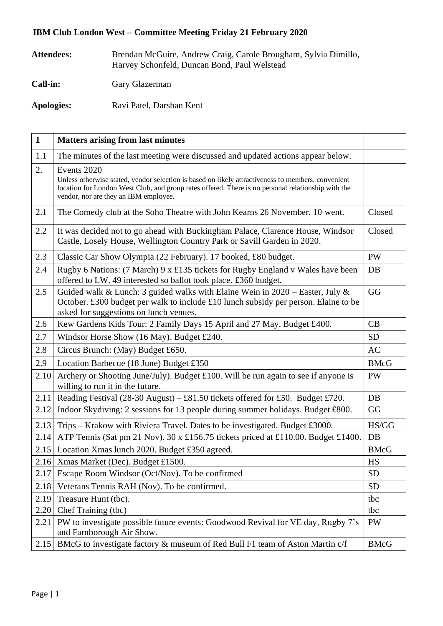## **IBM Club London West – Committee Meeting Friday 21 February 2020**

| Attendees:      | Brendan McGuire, Andrew Craig, Carole Brougham, Sylvia Dimillo,<br>Harvey Schonfeld, Duncan Bond, Paul Welstead |
|-----------------|-----------------------------------------------------------------------------------------------------------------|
| <b>Call-in:</b> | Gary Glazerman                                                                                                  |
| Apologies:      | Ravi Patel, Darshan Kent                                                                                        |

| $\mathbf{1}$ | <b>Matters arising from last minutes</b>                                                                                                                                                                                                                         |             |
|--------------|------------------------------------------------------------------------------------------------------------------------------------------------------------------------------------------------------------------------------------------------------------------|-------------|
| 1.1          | The minutes of the last meeting were discussed and updated actions appear below.                                                                                                                                                                                 |             |
| 2.           | Events 2020<br>Unless otherwise stated, vendor selection is based on likely attractiveness to members, convenient<br>location for London West Club, and group rates offered. There is no personal relationship with the<br>vendor, nor are they an IBM employee. |             |
| 2.1          | The Comedy club at the Soho Theatre with John Kearns 26 November. 10 went.                                                                                                                                                                                       | Closed      |
| 2.2          | It was decided not to go ahead with Buckingham Palace, Clarence House, Windsor<br>Castle, Losely House, Wellington Country Park or Savill Garden in 2020.                                                                                                        | Closed      |
| 2.3          | Classic Car Show Olympia (22 February). 17 booked, £80 budget.                                                                                                                                                                                                   | <b>PW</b>   |
| 2.4          | Rugby 6 Nations: (7 March) 9 x £135 tickets for Rugby England v Wales have been<br>offered to LW. 49 interested so ballot took place. £360 budget.                                                                                                               | DB          |
| 2.5          | Guided walk & Lunch: 3 guided walks with Elaine Wein in $2020$ – Easter, July &<br>October. £300 budget per walk to include £10 lunch subsidy per person. Elaine to be<br>asked for suggestions on lunch venues.                                                 | GG          |
| 2.6          | Kew Gardens Kids Tour: 2 Family Days 15 April and 27 May. Budget £400.                                                                                                                                                                                           | CB          |
| 2.7          | Windsor Horse Show (16 May). Budget £240.                                                                                                                                                                                                                        | <b>SD</b>   |
| 2.8          | Circus Brunch: (May) Budget £650.                                                                                                                                                                                                                                | <b>AC</b>   |
| 2.9          | Location Barbecue (18 June) Budget £350                                                                                                                                                                                                                          | <b>BMcG</b> |
| 2.10         | Archery or Shooting June/July). Budget £100. Will be run again to see if anyone is<br>willing to run it in the future.                                                                                                                                           | <b>PW</b>   |
| 2.11         | Reading Festival (28-30 August) – £81.50 tickets offered for £50. Budget £720.                                                                                                                                                                                   | DB          |
| 2.12         | Indoor Skydiving: 2 sessions for 13 people during summer holidays. Budget £800.                                                                                                                                                                                  | GG          |
| 2.13         | Trips - Krakow with Riviera Travel. Dates to be investigated. Budget £3000.                                                                                                                                                                                      | HS/GG       |
| 2.14         | ATP Tennis (Sat pm 21 Nov). 30 x £156.75 tickets priced at £110.00. Budget £1400.                                                                                                                                                                                | DB          |
|              | 2.15 Location Xmas lunch 2020. Budget £350 agreed.                                                                                                                                                                                                               | <b>BMcG</b> |
|              | 2.16 Xmas Market (Dec). Budget £1500.                                                                                                                                                                                                                            | HS          |
| 2.17         | Escape Room Windsor (Oct/Nov). To be confirmed                                                                                                                                                                                                                   | <b>SD</b>   |
| 2.18         | Veterans Tennis RAH (Nov). To be confirmed.                                                                                                                                                                                                                      | <b>SD</b>   |
| 2.19         | Treasure Hunt (tbc).                                                                                                                                                                                                                                             | tbc         |
| 2.20         | Chef Training (tbc)                                                                                                                                                                                                                                              | tbc         |
| 2.21         | PW to investigate possible future events: Goodwood Revival for VE day, Rugby 7's<br>and Farnborough Air Show.                                                                                                                                                    | PW          |
| 2.15         | BMcG to investigate factory & museum of Red Bull F1 team of Aston Martin c/f                                                                                                                                                                                     | <b>BMcG</b> |